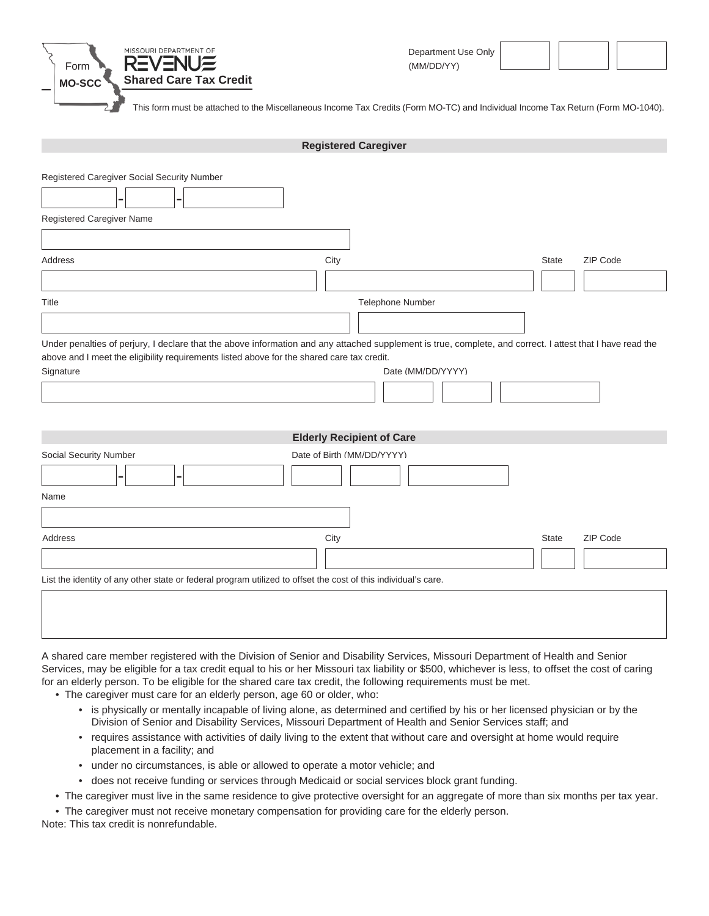

This form must be attached to the Miscellaneous Income Tax Credits (Form MO-TC) and Individual Income Tax Return (Form MO-1040).

|                                                                                                                                                                                                                                                                       | <b>Registered Caregiver</b>      |                          |
|-----------------------------------------------------------------------------------------------------------------------------------------------------------------------------------------------------------------------------------------------------------------------|----------------------------------|--------------------------|
| Registered Caregiver Social Security Number<br>Registered Caregiver Name                                                                                                                                                                                              |                                  |                          |
|                                                                                                                                                                                                                                                                       |                                  |                          |
| Address                                                                                                                                                                                                                                                               | City                             | ZIP Code<br><b>State</b> |
| Title                                                                                                                                                                                                                                                                 | Telephone Number                 |                          |
| Under penalties of perjury, I declare that the above information and any attached supplement is true, complete, and correct. I attest that I have read the<br>above and I meet the eligibility requirements listed above for the shared care tax credit.<br>Signature | Date (MM/DD/YYYY)                |                          |
|                                                                                                                                                                                                                                                                       | <b>Elderly Recipient of Care</b> |                          |
| Social Security Number                                                                                                                                                                                                                                                | Date of Birth (MM/DD/YYYY)       |                          |
| Name                                                                                                                                                                                                                                                                  |                                  |                          |
| Address                                                                                                                                                                                                                                                               | City                             | ZIP Code<br><b>State</b> |
| List the identity of any other state or federal program utilized to offset the cost of this individual's care.                                                                                                                                                        |                                  |                          |
|                                                                                                                                                                                                                                                                       |                                  |                          |

A shared care member registered with the Division of Senior and Disability Services, Missouri Department of Health and Senior Services, may be eligible for a tax credit equal to his or her Missouri tax liability or \$500, whichever is less, to offset the cost of caring for an elderly person. To be eligible for the shared care tax credit, the following requirements must be met.

- The caregiver must care for an elderly person, age 60 or older, who:
	- is physically or mentally incapable of living alone, as determined and certified by his or her licensed physician or by the Division of Senior and Disability Services, Missouri Department of Health and Senior Services staff; and
	- requires assistance with activities of daily living to the extent that without care and oversight at home would require placement in a facility; and
	- under no circumstances, is able or allowed to operate a motor vehicle; and
	- does not receive funding or services through Medicaid or social services block grant funding.
- The caregiver must live in the same residence to give protective oversight for an aggregate of more than six months per tax year.

• The caregiver must not receive monetary compensation for providing care for the elderly person.

Note: This tax credit is nonrefundable.